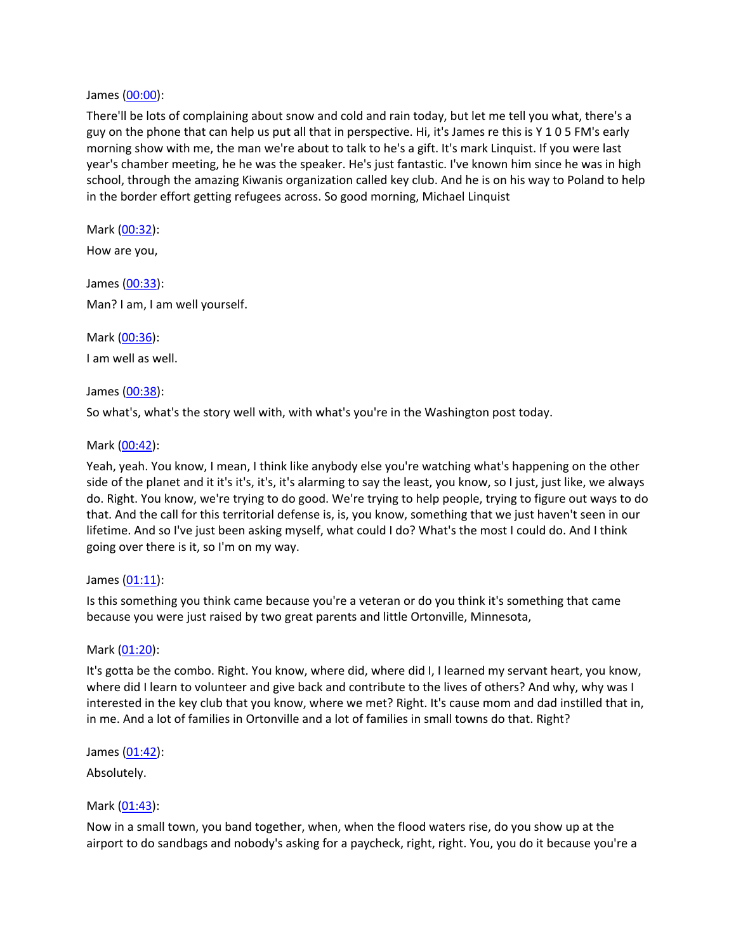James [\(00:00](https://www.temi.com/editor/t/ZRdsRKKclzJkHiMBUUIROUEdYtZnMo7JgOKZt8nDvdzuyjsvtEx3FV_tC0plk_SjkR4BCUvfvVDaj_Ussfasi4RhOXU?loadFrom=DocumentDeeplink&ts=0.08)):

There'll be lots of complaining about snow and cold and rain today, but let me tell you what, there's a guy on the phone that can help us put all that in perspective. Hi, it's James re this is Y 1 0 5 FM's early morning show with me, the man we're about to talk to he's a gift. It's mark Linquist. If you were last year's chamber meeting, he he was the speaker. He's just fantastic. I've known him since he was in high school, through the amazing Kiwanis organization called key club. And he is on his way to Poland to help in the border effort getting refugees across. So good morning, Michael Linquist

Mark [\(00:32\)](https://www.temi.com/editor/t/ZRdsRKKclzJkHiMBUUIROUEdYtZnMo7JgOKZt8nDvdzuyjsvtEx3FV_tC0plk_SjkR4BCUvfvVDaj_Ussfasi4RhOXU?loadFrom=DocumentDeeplink&ts=32.93):

How are you,

James [\(00:33](https://www.temi.com/editor/t/ZRdsRKKclzJkHiMBUUIROUEdYtZnMo7JgOKZt8nDvdzuyjsvtEx3FV_tC0plk_SjkR4BCUvfvVDaj_Ussfasi4RhOXU?loadFrom=DocumentDeeplink&ts=33.39)): Man? I am, I am well yourself.

Mark [\(00:36\)](https://www.temi.com/editor/t/ZRdsRKKclzJkHiMBUUIROUEdYtZnMo7JgOKZt8nDvdzuyjsvtEx3FV_tC0plk_SjkR4BCUvfvVDaj_Ussfasi4RhOXU?loadFrom=DocumentDeeplink&ts=36.07): I am well as well.

James [\(00:38](https://www.temi.com/editor/t/ZRdsRKKclzJkHiMBUUIROUEdYtZnMo7JgOKZt8nDvdzuyjsvtEx3FV_tC0plk_SjkR4BCUvfvVDaj_Ussfasi4RhOXU?loadFrom=DocumentDeeplink&ts=38.57)):

So what's, what's the story well with, with what's you're in the Washington post today.

Mark [\(00:42\)](https://www.temi.com/editor/t/ZRdsRKKclzJkHiMBUUIROUEdYtZnMo7JgOKZt8nDvdzuyjsvtEx3FV_tC0plk_SjkR4BCUvfvVDaj_Ussfasi4RhOXU?loadFrom=DocumentDeeplink&ts=42.93):

Yeah, yeah. You know, I mean, I think like anybody else you're watching what's happening on the other side of the planet and it it's it's, it's, it's alarming to say the least, you know, so I just, just like, we always do. Right. You know, we're trying to do good. We're trying to help people, trying to figure out ways to do that. And the call for this territorial defense is, is, you know, something that we just haven't seen in our lifetime. And so I've just been asking myself, what could I do? What's the most I could do. And I think going over there is it, so I'm on my way.

James [\(01:11](https://www.temi.com/editor/t/ZRdsRKKclzJkHiMBUUIROUEdYtZnMo7JgOKZt8nDvdzuyjsvtEx3FV_tC0plk_SjkR4BCUvfvVDaj_Ussfasi4RhOXU?loadFrom=DocumentDeeplink&ts=71.99)):

Is this something you think came because you're a veteran or do you think it's something that came because you were just raised by two great parents and little Ortonville, Minnesota,

## Mark [\(01:20\)](https://www.temi.com/editor/t/ZRdsRKKclzJkHiMBUUIROUEdYtZnMo7JgOKZt8nDvdzuyjsvtEx3FV_tC0plk_SjkR4BCUvfvVDaj_Ussfasi4RhOXU?loadFrom=DocumentDeeplink&ts=80.8):

It's gotta be the combo. Right. You know, where did, where did I, I learned my servant heart, you know, where did I learn to volunteer and give back and contribute to the lives of others? And why, why was I interested in the key club that you know, where we met? Right. It's cause mom and dad instilled that in, in me. And a lot of families in Ortonville and a lot of families in small towns do that. Right?

James [\(01:42](https://www.temi.com/editor/t/ZRdsRKKclzJkHiMBUUIROUEdYtZnMo7JgOKZt8nDvdzuyjsvtEx3FV_tC0plk_SjkR4BCUvfvVDaj_Ussfasi4RhOXU?loadFrom=DocumentDeeplink&ts=102.84)):

Absolutely.

## Mark [\(01:43\)](https://www.temi.com/editor/t/ZRdsRKKclzJkHiMBUUIROUEdYtZnMo7JgOKZt8nDvdzuyjsvtEx3FV_tC0plk_SjkR4BCUvfvVDaj_Ussfasi4RhOXU?loadFrom=DocumentDeeplink&ts=103.79):

Now in a small town, you band together, when, when the flood waters rise, do you show up at the airport to do sandbags and nobody's asking for a paycheck, right, right. You, you do it because you're a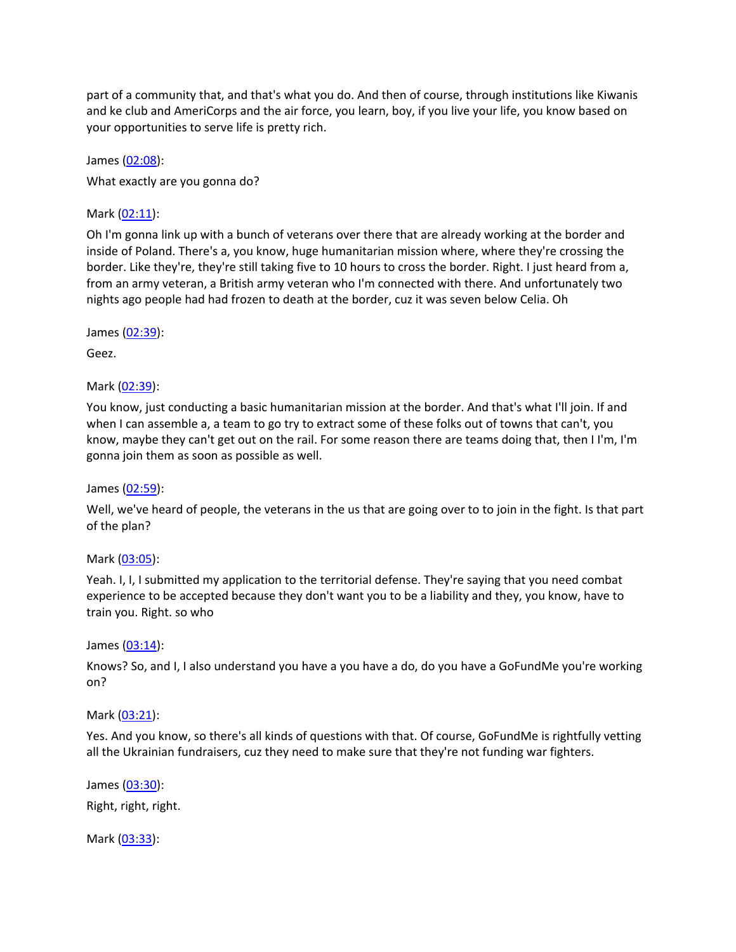part of a community that, and that's what you do. And then of course, through institutions like Kiwanis and ke club and AmeriCorps and the air force, you learn, boy, if you live your life, you know based on your opportunities to serve life is pretty rich.

James [\(02:08](https://www.temi.com/editor/t/ZRdsRKKclzJkHiMBUUIROUEdYtZnMo7JgOKZt8nDvdzuyjsvtEx3FV_tC0plk_SjkR4BCUvfvVDaj_Ussfasi4RhOXU?loadFrom=DocumentDeeplink&ts=128.85)):

What exactly are you gonna do?

Mark [\(02:11\)](https://www.temi.com/editor/t/ZRdsRKKclzJkHiMBUUIROUEdYtZnMo7JgOKZt8nDvdzuyjsvtEx3FV_tC0plk_SjkR4BCUvfvVDaj_Ussfasi4RhOXU?loadFrom=DocumentDeeplink&ts=131.12):

Oh I'm gonna link up with a bunch of veterans over there that are already working at the border and inside of Poland. There's a, you know, huge humanitarian mission where, where they're crossing the border. Like they're, they're still taking five to 10 hours to cross the border. Right. I just heard from a, from an army veteran, a British army veteran who I'm connected with there. And unfortunately two nights ago people had had frozen to death at the border, cuz it was seven below Celia. Oh

James [\(02:39](https://www.temi.com/editor/t/ZRdsRKKclzJkHiMBUUIROUEdYtZnMo7JgOKZt8nDvdzuyjsvtEx3FV_tC0plk_SjkR4BCUvfvVDaj_Ussfasi4RhOXU?loadFrom=DocumentDeeplink&ts=159.25)):

Geez.

Mark [\(02:39\)](https://www.temi.com/editor/t/ZRdsRKKclzJkHiMBUUIROUEdYtZnMo7JgOKZt8nDvdzuyjsvtEx3FV_tC0plk_SjkR4BCUvfvVDaj_Ussfasi4RhOXU?loadFrom=DocumentDeeplink&ts=159.59):

You know, just conducting a basic humanitarian mission at the border. And that's what I'll join. If and when I can assemble a, a team to go try to extract some of these folks out of towns that can't, you know, maybe they can't get out on the rail. For some reason there are teams doing that, then I I'm, I'm gonna join them as soon as possible as well.

James [\(02:59](https://www.temi.com/editor/t/ZRdsRKKclzJkHiMBUUIROUEdYtZnMo7JgOKZt8nDvdzuyjsvtEx3FV_tC0plk_SjkR4BCUvfvVDaj_Ussfasi4RhOXU?loadFrom=DocumentDeeplink&ts=179.12)):

Well, we've heard of people, the veterans in the us that are going over to to join in the fight. Is that part of the plan?

Mark [\(03:05\)](https://www.temi.com/editor/t/ZRdsRKKclzJkHiMBUUIROUEdYtZnMo7JgOKZt8nDvdzuyjsvtEx3FV_tC0plk_SjkR4BCUvfvVDaj_Ussfasi4RhOXU?loadFrom=DocumentDeeplink&ts=185.31):

Yeah. I, I, I submitted my application to the territorial defense. They're saying that you need combat experience to be accepted because they don't want you to be a liability and they, you know, have to train you. Right. so who

James [\(03:14](https://www.temi.com/editor/t/ZRdsRKKclzJkHiMBUUIROUEdYtZnMo7JgOKZt8nDvdzuyjsvtEx3FV_tC0plk_SjkR4BCUvfvVDaj_Ussfasi4RhOXU?loadFrom=DocumentDeeplink&ts=194.92)):

Knows? So, and I, I also understand you have a you have a do, do you have a GoFundMe you're working on?

Mark [\(03:21\)](https://www.temi.com/editor/t/ZRdsRKKclzJkHiMBUUIROUEdYtZnMo7JgOKZt8nDvdzuyjsvtEx3FV_tC0plk_SjkR4BCUvfvVDaj_Ussfasi4RhOXU?loadFrom=DocumentDeeplink&ts=201.65):

Yes. And you know, so there's all kinds of questions with that. Of course, GoFundMe is rightfully vetting all the Ukrainian fundraisers, cuz they need to make sure that they're not funding war fighters.

James [\(03:30](https://www.temi.com/editor/t/ZRdsRKKclzJkHiMBUUIROUEdYtZnMo7JgOKZt8nDvdzuyjsvtEx3FV_tC0plk_SjkR4BCUvfvVDaj_Ussfasi4RhOXU?loadFrom=DocumentDeeplink&ts=210.91)):

Right, right, right.

Mark [\(03:33\)](https://www.temi.com/editor/t/ZRdsRKKclzJkHiMBUUIROUEdYtZnMo7JgOKZt8nDvdzuyjsvtEx3FV_tC0plk_SjkR4BCUvfvVDaj_Ussfasi4RhOXU?loadFrom=DocumentDeeplink&ts=213.09):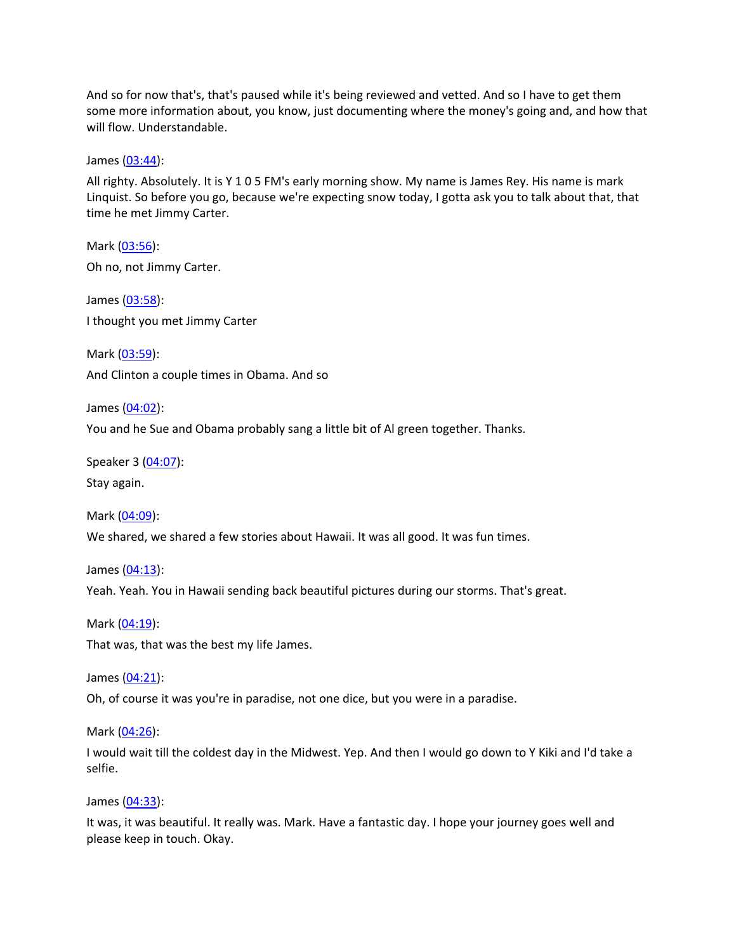And so for now that's, that's paused while it's being reviewed and vetted. And so I have to get them some more information about, you know, just documenting where the money's going and, and how that will flow. Understandable.

James [\(03:44](https://www.temi.com/editor/t/ZRdsRKKclzJkHiMBUUIROUEdYtZnMo7JgOKZt8nDvdzuyjsvtEx3FV_tC0plk_SjkR4BCUvfvVDaj_Ussfasi4RhOXU?loadFrom=DocumentDeeplink&ts=224.26)):

All righty. Absolutely. It is Y 1 0 5 FM's early morning show. My name is James Rey. His name is mark Linquist. So before you go, because we're expecting snow today, I gotta ask you to talk about that, that time he met Jimmy Carter.

Mark [\(03:56\)](https://www.temi.com/editor/t/ZRdsRKKclzJkHiMBUUIROUEdYtZnMo7JgOKZt8nDvdzuyjsvtEx3FV_tC0plk_SjkR4BCUvfvVDaj_Ussfasi4RhOXU?loadFrom=DocumentDeeplink&ts=236.04): Oh no, not Jimmy Carter.

James [\(03:58](https://www.temi.com/editor/t/ZRdsRKKclzJkHiMBUUIROUEdYtZnMo7JgOKZt8nDvdzuyjsvtEx3FV_tC0plk_SjkR4BCUvfvVDaj_Ussfasi4RhOXU?loadFrom=DocumentDeeplink&ts=238.26)): I thought you met Jimmy Carter

Mark [\(03:59\)](https://www.temi.com/editor/t/ZRdsRKKclzJkHiMBUUIROUEdYtZnMo7JgOKZt8nDvdzuyjsvtEx3FV_tC0plk_SjkR4BCUvfvVDaj_Ussfasi4RhOXU?loadFrom=DocumentDeeplink&ts=239.73): And Clinton a couple times in Obama. And so

James [\(04:02](https://www.temi.com/editor/t/ZRdsRKKclzJkHiMBUUIROUEdYtZnMo7JgOKZt8nDvdzuyjsvtEx3FV_tC0plk_SjkR4BCUvfvVDaj_Ussfasi4RhOXU?loadFrom=DocumentDeeplink&ts=242.25)):

You and he Sue and Obama probably sang a little bit of Al green together. Thanks.

Speaker 3 ([04:07](https://www.temi.com/editor/t/ZRdsRKKclzJkHiMBUUIROUEdYtZnMo7JgOKZt8nDvdzuyjsvtEx3FV_tC0plk_SjkR4BCUvfvVDaj_Ussfasi4RhOXU?loadFrom=DocumentDeeplink&ts=247.25)): Stay again.

Mark [\(04:09\)](https://www.temi.com/editor/t/ZRdsRKKclzJkHiMBUUIROUEdYtZnMo7JgOKZt8nDvdzuyjsvtEx3FV_tC0plk_SjkR4BCUvfvVDaj_Ussfasi4RhOXU?loadFrom=DocumentDeeplink&ts=249.01):

We shared, we shared a few stories about Hawaii. It was all good. It was fun times.

James [\(04:13](https://www.temi.com/editor/t/ZRdsRKKclzJkHiMBUUIROUEdYtZnMo7JgOKZt8nDvdzuyjsvtEx3FV_tC0plk_SjkR4BCUvfvVDaj_Ussfasi4RhOXU?loadFrom=DocumentDeeplink&ts=253)): Yeah. Yeah. You in Hawaii sending back beautiful pictures during our storms. That's great.

Mark [\(04:19\)](https://www.temi.com/editor/t/ZRdsRKKclzJkHiMBUUIROUEdYtZnMo7JgOKZt8nDvdzuyjsvtEx3FV_tC0plk_SjkR4BCUvfvVDaj_Ussfasi4RhOXU?loadFrom=DocumentDeeplink&ts=259.05): That was, that was the best my life James.

James [\(04:21](https://www.temi.com/editor/t/ZRdsRKKclzJkHiMBUUIROUEdYtZnMo7JgOKZt8nDvdzuyjsvtEx3FV_tC0plk_SjkR4BCUvfvVDaj_Ussfasi4RhOXU?loadFrom=DocumentDeeplink&ts=261.42)):

Oh, of course it was you're in paradise, not one dice, but you were in a paradise.

Mark [\(04:26\)](https://www.temi.com/editor/t/ZRdsRKKclzJkHiMBUUIROUEdYtZnMo7JgOKZt8nDvdzuyjsvtEx3FV_tC0plk_SjkR4BCUvfvVDaj_Ussfasi4RhOXU?loadFrom=DocumentDeeplink&ts=266):

I would wait till the coldest day in the Midwest. Yep. And then I would go down to Y Kiki and I'd take a selfie.

James [\(04:33](https://www.temi.com/editor/t/ZRdsRKKclzJkHiMBUUIROUEdYtZnMo7JgOKZt8nDvdzuyjsvtEx3FV_tC0plk_SjkR4BCUvfvVDaj_Ussfasi4RhOXU?loadFrom=DocumentDeeplink&ts=273.24)):

It was, it was beautiful. It really was. Mark. Have a fantastic day. I hope your journey goes well and please keep in touch. Okay.